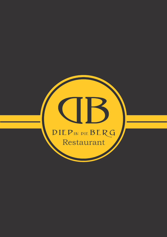# DIEPIN DIE BERG Restaurant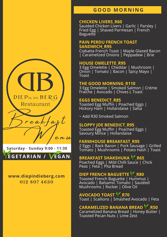## **GOOD MOR N I N G**

#### **CHICKEN LIVERS\_R60**

Sautéed Chicken Livers | Garlic | Parsley | Fried Egg | Shaved Parmesan | French **Baguette** 

#### **PAIN PERDU FRENCH TOAST SANDWICH\_R95**

Ciabatta French Toast | Maple Glazed Bacon | Caramelized Onions | Peppadew | Brie

#### **HOUSE OMELETTE\_R95**

3 Egg Omelette | Cheddar | Mushroom | Onion | Tomato | Bacon | Spicy Mayo | Toast

#### **THE GOOD MORNING\_R110**

3 Egg Omelette | Smoked Salmon | Crème Fraiche | Avocado | Chives L Toast

#### **EGGS BENEDICT\_R85**

Toasted Egg Muffin | Poached Eggs | Hickory Ham | Hollandaise | Salsa

~ Add R30 Smoked Salmon

#### **SLOPPY JOE BENEDICT\_R95**

Toasted Egg Muffin | Poached Eggs | Savoury Mince | Hollandaise

#### **FARMHOUSE BREAKFAST\_R95**

2 Eggs | Back Bacon | Pork Sausage | Grilled Tomato | Mushrooms | Potato Hash | Toast

## **BREAKFAST SHAKSHUKA VR65**

Poached Eggs | Mild Chilli Sauce | Chick Peas | Feta | Pita Bread

## **DIEP FRENCH BAGUETTE V\_R80**

Toasted French Baguette | Hummus | Avocado | Balsamic Tomato | Sautéed Mushrooms | Rocket | Olive Oil

#### **AVOCADO TOAST V\_R70** Toast | Scallions | Smashed Avocado | Feta

# **CARAMELIZED BANANA BREAD V\_R50**

Caramelized Banana Bread | Honey Butter | Toasted Pecan Nuts | Lime Zest

 $DIEP$ IN DIE  $BERG$ Restaurant  $reakfa$ g $t$  $e$ n u

**Saturday - Sunday 9:00 - 11:30**

**EGETARIA N / EGA N**

## **www.diepindieberg.com 012 807 4630**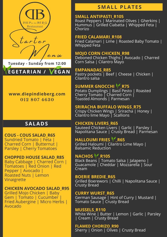

**Tuesday - Sunday from 12:00**

# **EGETARIAN / VEGAN**

## **www.diepindieberg.com 012 807 4630**

# **SALADS**

**COUS - COUS SALAD\_R65** Sundried Tomato | Feta | Charred Corn | Butternut | Parsley | Cherry Tomatoes

## **CHOPPED HOUSE SALAD\_R85**

Baby Cabbage | Charred Corn | Tomatoes | Red Onion | Red Pepper | Avocado | Roasted Nuts | Lemon Vinaigrette

#### **CHICKEN AVOCADO SALAD\_R95**

Grilled Mojo Chicken | Baby Gem | Tomato | Cucumber | Fried Aubergine | Micro Herbs | Avocado

# **SMALL PLATE S**

#### **SMALL ANTIPASTI\_R105**

Roast Peppers | Marinated Olives | Gherkins | Hummus | Grilled Ciabatta | Whipped Feta | Chorizo

#### **FRIED CALAMARI\_R108**

Fried Calamari | Lime | Roasted Baby Tomato | Whipped Feta

#### **MOJO CORN CHICKEN\_R98**

Deboned Chicken Thighs | Avocado | Charred Corn Salsa | Cilantro Mayo

### **EMPANADAS\_R85**

Pastry pockets | Beef | Cheese | Chicken | Cilantro salsa

## **SUMMER GNOCCHI V\_R75**

Potato Dumplings | Basil Pesto | Roasted Cherry Tomato | Charred Corn | Toasted Almonds | Parmesan

### **SRIRACHA BUFFALO WINGS\_R75**

Crispy Chicken Wings | Sriracha | Honey | Cilantro lime Mayo | Scallions

#### **CHICKEN LIVERS\_R65**

Sauteed Chicken Livers | Garlic | Parsley | Napolitana Sauce | Crusty Bread | Parmesan

## **HALLOUMI FRIES Y R65**

Grilled Haloumi | Cilantro Lime Mayo | Balsamic Reduction

### **NACHOS V\_R105**

Black Beans | Tomato Salsa | Jalapeno | Guacamole | Cheddar | Mozzarella | Sour Cream

#### **BOERIE BREDIE\_R65**

Grilled Boerewors | Chilli | Napolitana Sauce | Crusty Bread

#### **CURRY WURST\_R65**

German Sausage | Hint of Curry | Mustard | Tomato Sauce | Crusty Bread

#### **MUSSELS\_R110**

White Wine | Butter | Lemon | Garlic | Parsley | Cream | Crusty Bread

**FLAMED CHORIZO\_R90** Sherry | Onion | Olives | Crusty Bread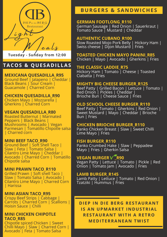

**Tuesday - Sunday from 12:00**

# **TACOS & QUE SADILLAS**

#### **MEXICANA QUESADILLA\_R95**

Ground Beef | Jalapeno | Cheddar | Black Beans | Sour Cream | Guacamole | Charred Corn

#### **CHICKEN QUESADILLA\_R90**

Chicken Mayo | Mozzarella | Gherkins | Charred Corn

#### **VEGAN QUESADILLA\_R80**

Roasted Butternut | Marinated Peppers | Black Beans | Mushrooms | Avocado | Vegan Parmesan | Tomatillo Chipotle salsa | Charred corn

#### **MINI BEEF TACO\_R90**

Ground Beef | Soft Shell Taco | Slaw | Feta | Tomato Salsa | Cilantro Lime Mayo | Cheddar | Avocado | Charred Corn | Tomatillo Chipotle salsa

#### **MINI PRAWN TACO\_R110**

Grilled Prawn | Soft shell Taco | Slaw | Tomato Salsa | Avocado | Cilantro Lime Mayo | Charred Corn | Harissa

#### **MINI ASIAN TACO\_R95**

Crispy Beef Strips | Cabbage | Carrots | Charred Corn | Scallions | Hoisin Sauce | Chilli

#### **MINI CHICKEN CHIPOTLE TACO\_R85**

Chipotle spiced Chicken | Sweet Chilli Mayo | Slaw | Charred Corn | Avocado | Feta | Tomato Salsa

# **BURGERS & SA N DWICHE S**

### **GERMAN FOOTLONG\_R110**

German Sausage | Red Onion | Sauerkraut | Tomato Sauce | Mustard | Cheddar

#### **AUTHENTIC CUBANO\_R100**

Slow Roasted Mojo Pork Belly | Hickory Ham | Swiss cheese | Dijon Mustard | Fries

#### **TOASTED CHICKEN MAYO PANINI\_R85** Chicken | Mayo | Avocado | Gherkins | Fries

#### **THE CLASSIC LADDIE\_R75**

Hickory Ham | Tomato | Cheese | Toasted Ciabatta | Fries

#### **MIGHTY BIG CHEESE BURGER\_R125**

Beef Patty | Grilled Bacon | Lettuce | Tomato | Red Onion | Pickles | Cheddar | Brioche Bun | Cheese Sauce | Fries

#### **OLD SCHOOL CHEESE BURGER\_R110**

Beef Patty | Tomato | Gherkins | Red Onion | Sweet Mustard | Mayo | Cheddar | Brioche Bun | Fries

#### **CHICKEN BRIOCHE BURGER\_R110**

Panko Chicken Breast | Slaw | Sweet Chilli Lime Mayo | Fries

#### **FISH BURGER\_R110**

Panko Crumbed Hake | Slaw | Peppadew Mayo | Fries | Gherkin Salsa

### **VEGAN BURGER V R90**

Vegan Patty | Lettuce | Tomato | Pickle | Red Onion | Tomato Jam | Avocado | Fries

#### **LAMB BURGER\_R145**

Lamb Patty | Lettuce | Tomato | Red Onion | Tzatziki | Hummus | Fries

## **DI EP I N DI E BERG RE STAURA N T I S A N UPMARKET I N DUSTRIAL RE STAURA N T WITH A RETRO MEDITERRA N EA N TWI ST**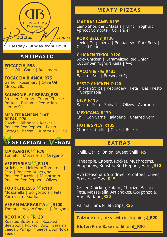

# **A N TIPASTO**

**FOCACCIA\_R58** Olive Oil | Garlic | Rosemary

**FOCACCIA BIANCA\_R75** Garlic | Rosemary | Olive Oil | Mozzarella

# **SALMON FLAT BREAD\_R85**

Smoked Salmon| Cream Cheese | Rocket | Balsamic Reduction | Lemon Oil

#### **MEDITERRANEAN FLAT BREAD\_R70**

Zucchini Ribbons | Rocket | Roasted Red Pepper | Pesto Cottage Cheese | Hummus | Olive Oil

# **EGETARIA N / EGA N**

MARGARITA<sup>V</sup>\_R78 Tomato | Mozzarella | Oregano

**VEGETARIAN \Ref** Artichoke | Heirloom Tomatoes | Feta | Roasted Aubergine Roasted Zucchini | Mushroom | Roasted Red Pepper | Olives

**FOUR CHEESES ¥ R110** Mozzarella | Gorgonzola | Feta | Parmesan | Garlic

**VEGAN MARGARITAV R100** Tomato | Vegan Cheese | Oregano

**ROOT VEG V R120** Roasted Butternut | Roasted Beetroot | Rocket | Avo | Sesame Seeds L Pumpkin Seeds L Sunflower Seeds

# **MEATY PIZZAS**

#### **MADRAS LAMB\_R135**

Lamb Shoulder L Masala | Mint | Yoghurt | Apricot Compote | Coriander

**PORK BELLY\_R120** Leek | Gorgonzola | Peppadew | Pork Belly | Glazed Pears

#### **CHICKEN TIKKA\_R120**

Spicy Chicken | Caramelized Red Onion | Cucumber Yoghurt Raita | Avo

**BACON & FIG\_R135** Bacon | Brie | Preserved Figs

**PESTO CHICKEN\_R120** Chicken Strips | Peppadew | Feta | Basil Pesto | Gorgonzola

**DIEP\_R115** Bacon | Feta | Spinach | Olives | Avocado

**MEXICANA\_R130** Chilli Con Carne | Jalapeno | Charred Corn

**HOT & SPICY\_R135** Chorizo | Chilli's | Olives | Rocket

# **EXTRAS**

Chilli, Garlic, Onion, Sweet Chilli **\_R5**

Pineapple, Capers, Rocket, Mushrooms, Peppadew, Roasted Red Pepper, Ham **R10** 

Avo (seasonal), Sundried Tomatoes, Olives, Preserved Figs **\_R15**

Grilled Chicken, Salami, Chorizo, Bacon, Feta, Mozzarella, Artichokes, Gorgonzola, Brie, Padano**\_R20**

Parma Ham, Fillet Strips**\_R25**

**Calzone** (any pizza with its toppings)**\_R20**

**Gluten Free Base** (additional)**\_R30**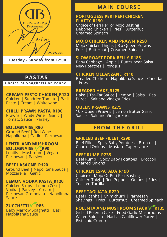

# **PASTAS**

#### **Choice of Spaghetti or Penne**

#### **CREAMY PESTO CHICKEN\_R120** Chicken | Sundried Tomato | Basil Pesto | Cream | White wine

**CHILLI PRAWN PASTA\_R190** Prawns | White Wine | Garlic | Tomato Sauce | Parsley

**BOLOGNAISE\_R90** Ground Beef | Red Wine | Napolitana | Garlic | Parmesan

#### **LENTIL AND MUSHROOM BOLOGNAISE**  $\sqrt{\ }$ **R90** Lentils | Mushroom | Vegan

Parmesan | Parsley

#### **BEEF LASAGNE\_R120**

Ground Beef | Napolitana Sauce | Mozzarella | Garlic

#### **LEMON VODKA PASTA\_R120**

Chicken Strips | Lemon Zest | Vodka | Parsley | Cream | Parmesan Gremolata | Napolitana Sauce

**ZUCCHETTI V R85** Baby Marrow Spaghetti | Basil | Napolitana Sauce

## **MAI N COURS E**

#### **PORTUGUESE PERI PERI CHICKEN FLATTY\_R190**

Choice of Peri Peri or Mojo Basting Deboned Chicken | Fries | Butternut | Creamed Spinach

#### **MOJO CHICKEN AND PRAWN\_R250**

Mojo Chicken Thighs | 3 x Queen Prawns | Fries | Butternut | Creamed Spinach

#### **SLOW ROAST PORK BELLY\_R185**

Baby Cabbage | Apple | Butter bean Salsa | New Potatoes | Pork Jus

#### **CHICKEN MELANZANE\_R110**

Breaded Chicken | Napolitana Sauce | Cheddar | Fries

#### **BREADED HAKE\_R125**

Hake | Tar-Tar Sauce | Lemon | Salsa | Pea Puree | Salt and Vinegar Fries

#### **QUEEN PRAWNS\_R275**

10 x Queen Prawns | Lemon Butter Garlic Sauce | Salt and Vinegar Fries

# **FROM THE GRILL**

#### **GRILLED BEEF FILLET\_R290**

Beef Fillet | Spicy Baby Potatoes | Broccoli | Charred Onions | Mustard Caper sauce

#### **BEEF RUMP\_R235**

Beef Rump | Spicy Baby Potatoes | Broccoli | Charred Onions

#### **CHICKEN ESPATADA\_R190**

Choice of Mojo Or Peri Peri Basting Chicken Thigh | Red Pepper | Onions | Fries | Toasted Tortilla

#### **BEEF TAGLIATA\_R220**

Beef Picanha | Chimichurri | Parmesan Shavings | Fries | Butternut | Creamed Spinach

## **POLENTA AND MUSHROOM STACK V R135**

Grilled Polenta Cake | Fried Garlic Mushrooms | Wilted Spinach | Harissa Cauliflower Puree | Pistachio Crumb